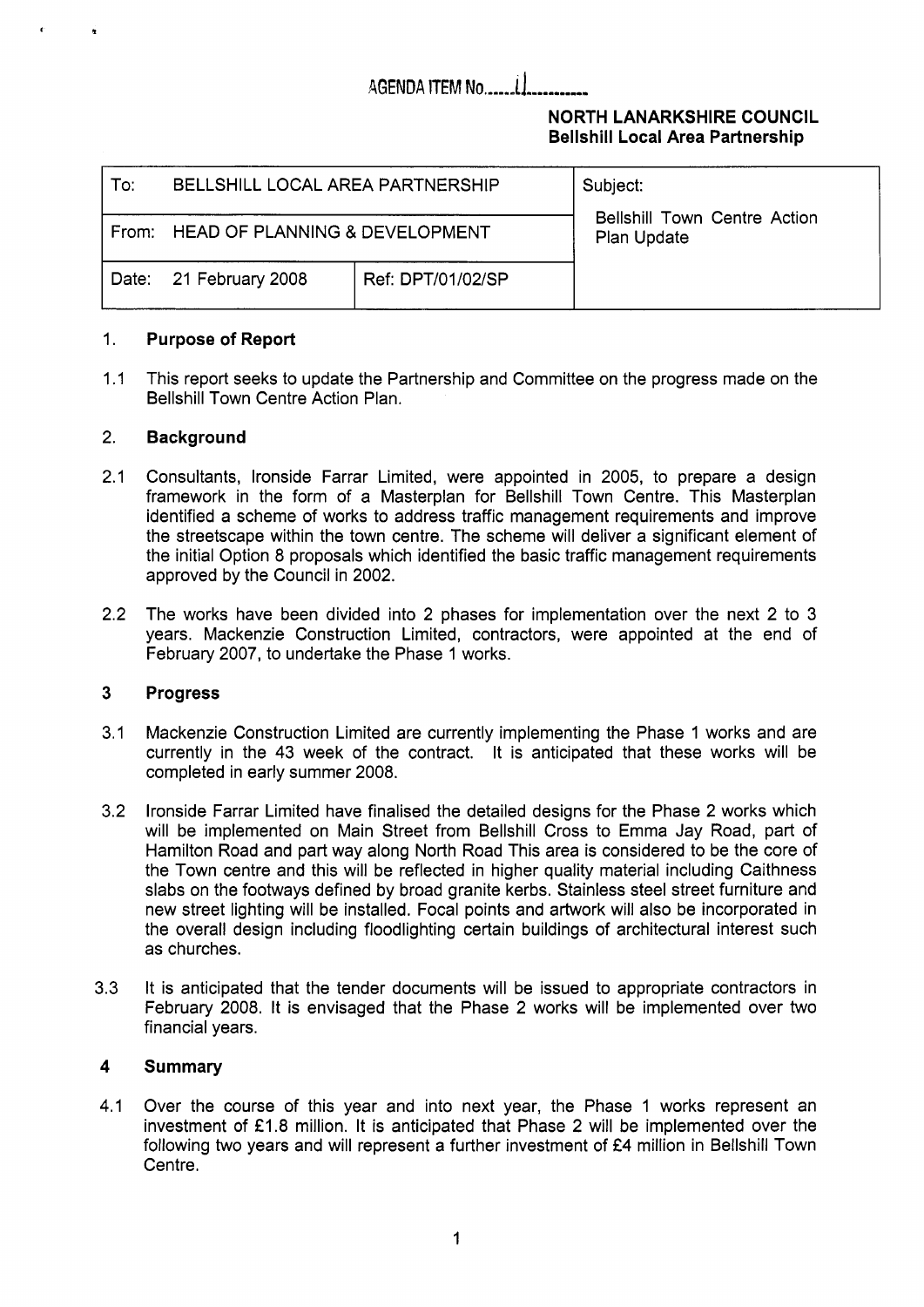# **AGENDA ITEM No.....**

### **NORTH LANARKSHIRE COUNCIL Bellshill Local Area Partnership**

| :To: | BELLSHILL LOCAL AREA PARTNERSHIP     |                   | Subject:<br><b>Bellshill Town Centre Action</b><br>Plan Update |
|------|--------------------------------------|-------------------|----------------------------------------------------------------|
|      | From: HEAD OF PLANNING & DEVELOPMENT |                   |                                                                |
|      | Date: 21 February 2008               | Ref: DPT/01/02/SP |                                                                |

#### 1. **Purpose of Report**

 $1.1$ This report seeks to update the Partnership and Committee on the progress made on the Bellshill Town Centre Action Plan.

#### 2. **Background**

**r n** 

- 2.1 Consultants, lronside Farrar Limited, were appointed in 2005, to prepare a design framework in the form of a Masterplan for Bellshill Town Centre. This Masterplan identified a scheme of works to address traffic management requirements and improve the streetscape within the town centre. The scheme will deliver a significant element of the initial Option 8 proposals which identified the basic traffic management requirements approved by the Council in 2002.
- 2.2 The works have been divided into 2 phases for implementation over the next 2 to 3 years. Mackenzie Construction Limited, contractors, were appointed at the end of February 2007, to undertake the Phase 1 works.

#### **3 Progress**

- 3.1 Mackenzie Construction Limited are currently implementing the Phase 1 works and are currently in the 43 week of the contract. It is anticipated that these works will be completed in early summer 2008.
- 3.2 lronside Farrar Limited have finalised the detailed designs for the Phase 2 works which will be implemented on Main Street from Bellshill Cross to Emma Jay Road, part of Hamilton Road and part way along North Road This area is considered to be the core of the Town centre and this will be reflected in higher quality material including Caithness slabs on the footways defined by broad granite kerbs. Stainless steel street furniture and new street lighting will be installed. Focal points and artwork will also be incorporated in the overall design including floodlighting certain buildings of architectural interest such as churches.
- 3.3 It is anticipated that the tender documents will be issued to appropriate contractors in February 2008. It is envisaged that the Phase 2 works will be implemented over two financial years.

#### **4 Summary**

4.1 Over the course of this year and into next year, the Phase 1 works represent an investment of £1.8 million. It is anticipated that Phase 2 will be implemented over the following two years and will represent a further investment of  $E4$  million in Bellshill Town Centre.